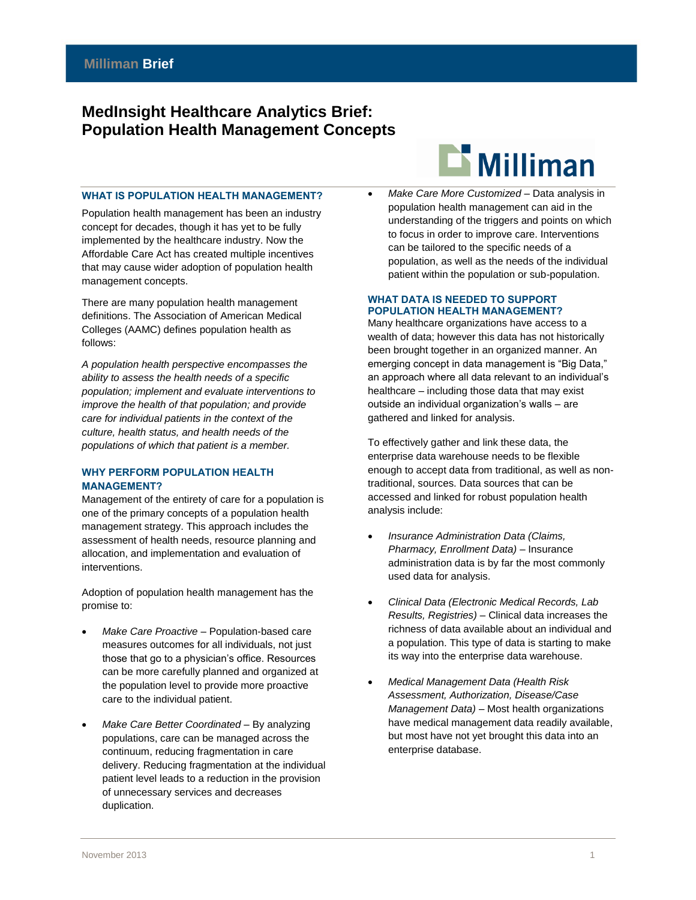# **MedInsight Healthcare Analytics Brief: Population Health Management Concepts**

# $\mathbf{\mathbf{\color{blue}\textbf{L}}$  Milliman

# **WHAT IS POPULATION HEALTH MANAGEMENT?**

Population health management has been an industry concept for decades, though it has yet to be fully implemented by the healthcare industry. Now the Affordable Care Act has created multiple incentives that may cause wider adoption of population health management concepts.

There are many population health management definitions. The Association of American Medical Colleges (AAMC) defines population health as follows:

*A population health perspective encompasses the ability to assess the health needs of a specific population; implement and evaluate interventions to improve the health of that population; and provide care for individual patients in the context of the culture, health status, and health needs of the populations of which that patient is a member.*

#### **WHY PERFORM POPULATION HEALTH MANAGEMENT?**

Management of the entirety of care for a population is one of the primary concepts of a population health management strategy. This approach includes the assessment of health needs, resource planning and allocation, and implementation and evaluation of interventions.

Adoption of population health management has the promise to:

- *Make Care Proactive* Population-based care measures outcomes for all individuals, not just those that go to a physician's office. Resources can be more carefully planned and organized at the population level to provide more proactive care to the individual patient.
- *Make Care Better Coordinated* By analyzing populations, care can be managed across the continuum, reducing fragmentation in care delivery. Reducing fragmentation at the individual patient level leads to a reduction in the provision of unnecessary services and decreases duplication.

 *Make Care More Customized* – Data analysis in population health management can aid in the understanding of the triggers and points on which to focus in order to improve care. Interventions can be tailored to the specific needs of a population, as well as the needs of the individual patient within the population or sub-population.

#### **WHAT DATA IS NEEDED TO SUPPORT POPULATION HEALTH MANAGEMENT?**

Many healthcare organizations have access to a wealth of data; however this data has not historically been brought together in an organized manner. An emerging concept in data management is "Big Data," an approach where all data relevant to an individual's healthcare – including those data that may exist outside an individual organization's walls – are gathered and linked for analysis.

To effectively gather and link these data, the enterprise data warehouse needs to be flexible enough to accept data from traditional, as well as nontraditional, sources. Data sources that can be accessed and linked for robust population health analysis include:

- *Insurance Administration Data (Claims, Pharmacy, Enrollment Data)* – Insurance administration data is by far the most commonly used data for analysis.
- *Clinical Data (Electronic Medical Records, Lab Results, Registries)* – Clinical data increases the richness of data available about an individual and a population. This type of data is starting to make its way into the enterprise data warehouse.
- *Medical Management Data (Health Risk Assessment, Authorization, Disease/Case Management Data)* – Most health organizations have medical management data readily available, but most have not yet brought this data into an enterprise database.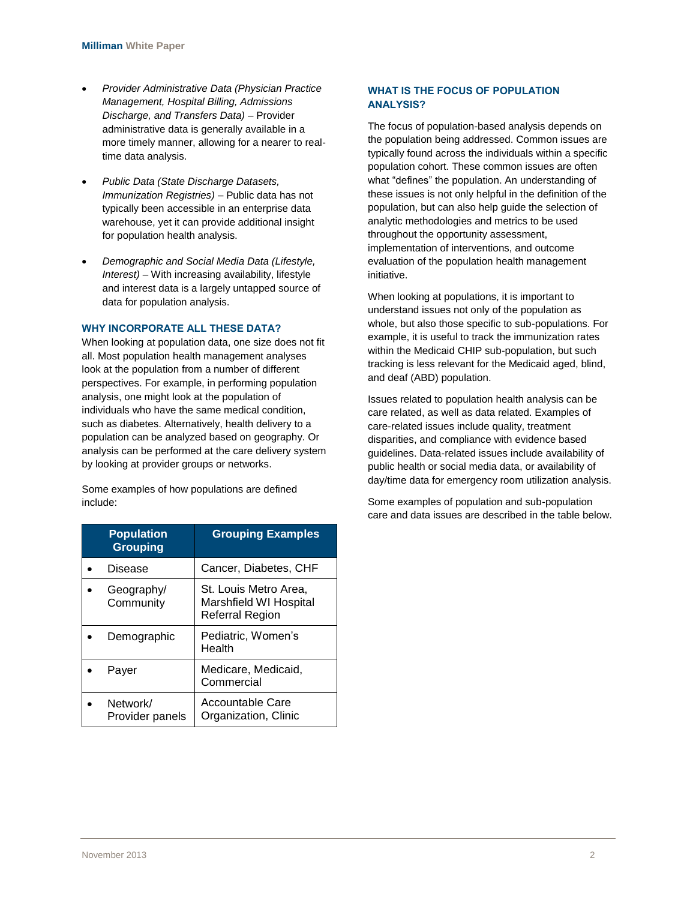- *Provider Administrative Data (Physician Practice Management, Hospital Billing, Admissions Discharge, and Transfers Data)* – Provider administrative data is generally available in a more timely manner, allowing for a nearer to realtime data analysis.
- *Public Data (State Discharge Datasets, Immunization Registries)* – Public data has not typically been accessible in an enterprise data warehouse, yet it can provide additional insight for population health analysis.
- *Demographic and Social Media Data (Lifestyle, Interest)* – With increasing availability, lifestyle and interest data is a largely untapped source of data for population analysis.

### **WHY INCORPORATE ALL THESE DATA?**

When looking at population data, one size does not fit all. Most population health management analyses look at the population from a number of different perspectives. For example, in performing population analysis, one might look at the population of individuals who have the same medical condition, such as diabetes. Alternatively, health delivery to a population can be analyzed based on geography. Or analysis can be performed at the care delivery system by looking at provider groups or networks.

Some examples of how populations are defined include:

| <b>Population</b><br><b>Grouping</b> | <b>Grouping Examples</b>                                           |
|--------------------------------------|--------------------------------------------------------------------|
| Disease                              | Cancer, Diabetes, CHF                                              |
| Geography/<br>Community              | St. Louis Metro Area,<br>Marshfield WI Hospital<br>Referral Region |
| Demographic                          | Pediatric, Women's<br>Health                                       |
| Paver                                | Medicare, Medicaid,<br>Commercial                                  |
| Network/<br>Provider panels          | Accountable Care<br>Organization, Clinic                           |

# **WHAT IS THE FOCUS OF POPULATION ANALYSIS?**

The focus of population-based analysis depends on the population being addressed. Common issues are typically found across the individuals within a specific population cohort. These common issues are often what "defines" the population. An understanding of these issues is not only helpful in the definition of the population, but can also help guide the selection of analytic methodologies and metrics to be used throughout the opportunity assessment, implementation of interventions, and outcome evaluation of the population health management initiative.

When looking at populations, it is important to understand issues not only of the population as whole, but also those specific to sub-populations. For example, it is useful to track the immunization rates within the Medicaid CHIP sub-population, but such tracking is less relevant for the Medicaid aged, blind, and deaf (ABD) population.

Issues related to population health analysis can be care related, as well as data related. Examples of care-related issues include quality, treatment disparities, and compliance with evidence based guidelines. Data-related issues include availability of public health or social media data, or availability of day/time data for emergency room utilization analysis.

Some examples of population and sub-population care and data issues are described in the table below.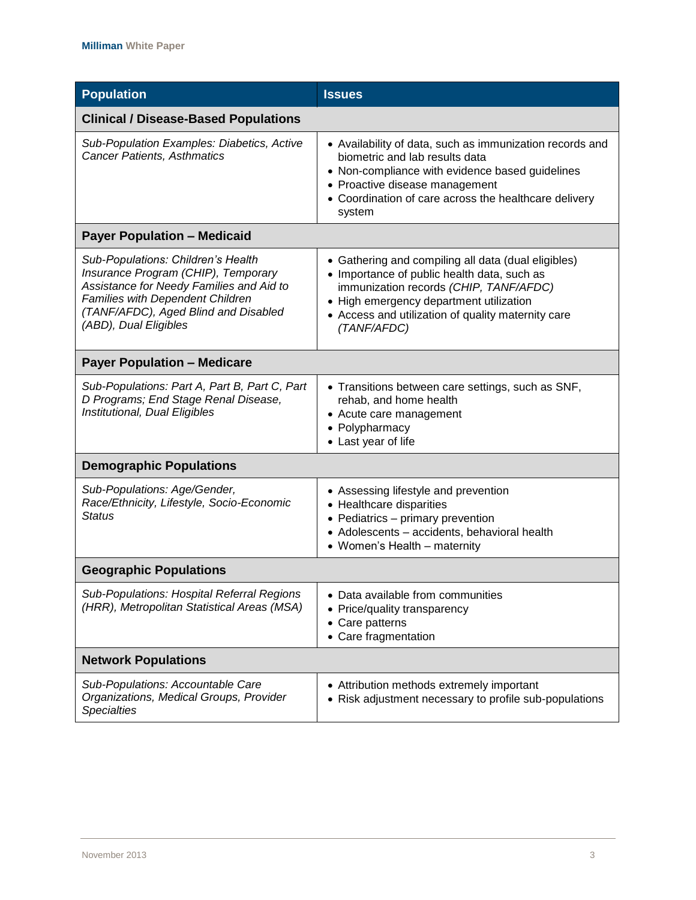| Population                                                                                                                                                                                                                        | <b>Issues</b>                                                                                                                                                                                                                                                |  |  |  |  |
|-----------------------------------------------------------------------------------------------------------------------------------------------------------------------------------------------------------------------------------|--------------------------------------------------------------------------------------------------------------------------------------------------------------------------------------------------------------------------------------------------------------|--|--|--|--|
| <b>Clinical / Disease-Based Populations</b>                                                                                                                                                                                       |                                                                                                                                                                                                                                                              |  |  |  |  |
| Sub-Population Examples: Diabetics, Active<br><b>Cancer Patients, Asthmatics</b>                                                                                                                                                  | • Availability of data, such as immunization records and<br>biometric and lab results data<br>• Non-compliance with evidence based guidelines<br>• Proactive disease management<br>• Coordination of care across the healthcare delivery<br>system           |  |  |  |  |
| <b>Payer Population - Medicaid</b>                                                                                                                                                                                                |                                                                                                                                                                                                                                                              |  |  |  |  |
| Sub-Populations: Children's Health<br>Insurance Program (CHIP), Temporary<br>Assistance for Needy Families and Aid to<br><b>Families with Dependent Children</b><br>(TANF/AFDC), Aged Blind and Disabled<br>(ABD), Dual Eligibles | • Gathering and compiling all data (dual eligibles)<br>• Importance of public health data, such as<br>immunization records (CHIP, TANF/AFDC)<br>• High emergency department utilization<br>• Access and utilization of quality maternity care<br>(TANF/AFDC) |  |  |  |  |
| <b>Payer Population - Medicare</b>                                                                                                                                                                                                |                                                                                                                                                                                                                                                              |  |  |  |  |
| Sub-Populations: Part A, Part B, Part C, Part<br>D Programs; End Stage Renal Disease,<br>Institutional, Dual Eligibles                                                                                                            | • Transitions between care settings, such as SNF,<br>rehab, and home health<br>• Acute care management<br>• Polypharmacy<br>• Last year of life                                                                                                              |  |  |  |  |
| <b>Demographic Populations</b>                                                                                                                                                                                                    |                                                                                                                                                                                                                                                              |  |  |  |  |
| Sub-Populations: Age/Gender,<br>Race/Ethnicity, Lifestyle, Socio-Economic<br><b>Status</b>                                                                                                                                        | • Assessing lifestyle and prevention<br>• Healthcare disparities<br>• Pediatrics - primary prevention<br>• Adolescents - accidents, behavioral health<br>• Women's Health - maternity                                                                        |  |  |  |  |
| <b>Geographic Populations</b>                                                                                                                                                                                                     |                                                                                                                                                                                                                                                              |  |  |  |  |
| Sub-Populations: Hospital Referral Regions<br>(HRR), Metropolitan Statistical Areas (MSA)                                                                                                                                         | • Data available from communities<br>• Price/quality transparency<br>• Care patterns<br>• Care fragmentation                                                                                                                                                 |  |  |  |  |
| <b>Network Populations</b>                                                                                                                                                                                                        |                                                                                                                                                                                                                                                              |  |  |  |  |
| Sub-Populations: Accountable Care<br>Organizations, Medical Groups, Provider<br><b>Specialties</b>                                                                                                                                | • Attribution methods extremely important<br>• Risk adjustment necessary to profile sub-populations                                                                                                                                                          |  |  |  |  |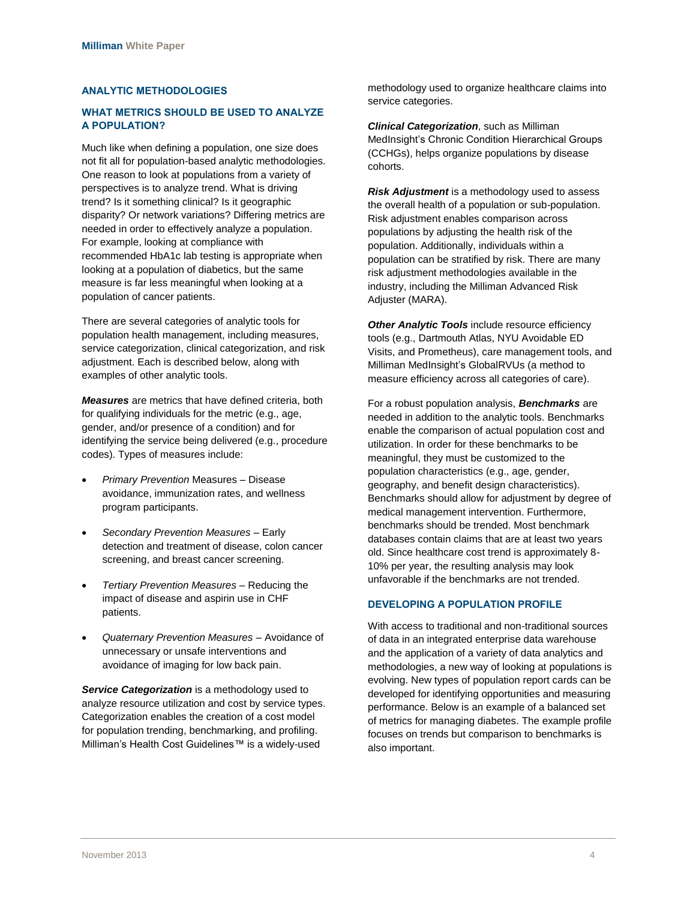# **ANALYTIC METHODOLOGIES**

# **WHAT METRICS SHOULD BE USED TO ANALYZE A POPULATION?**

Much like when defining a population, one size does not fit all for population-based analytic methodologies. One reason to look at populations from a variety of perspectives is to analyze trend. What is driving trend? Is it something clinical? Is it geographic disparity? Or network variations? Differing metrics are needed in order to effectively analyze a population. For example, looking at compliance with recommended HbA1c lab testing is appropriate when looking at a population of diabetics, but the same measure is far less meaningful when looking at a population of cancer patients.

There are several categories of analytic tools for population health management, including measures, service categorization, clinical categorization, and risk adjustment. Each is described below, along with examples of other analytic tools.

*Measures* are metrics that have defined criteria, both for qualifying individuals for the metric (e.g., age, gender, and/or presence of a condition) and for identifying the service being delivered (e.g., procedure codes). Types of measures include:

- *Primary Prevention* Measures Disease avoidance, immunization rates, and wellness program participants.
- *Secondary Prevention Measures* Early detection and treatment of disease, colon cancer screening, and breast cancer screening.
- *Tertiary Prevention Measures* Reducing the impact of disease and aspirin use in CHF patients.
- *Quaternary Prevention Measures* Avoidance of unnecessary or unsafe interventions and avoidance of imaging for low back pain.

**Service Categorization** is a methodology used to analyze resource utilization and cost by service types. Categorization enables the creation of a cost model for population trending, benchmarking, and profiling. Milliman's Health Cost Guidelines™ is a widely-used

methodology used to organize healthcare claims into service categories.

*Clinical Categorization*, such as Milliman MedInsight's Chronic Condition Hierarchical Groups (CCHGs), helps organize populations by disease cohorts.

*Risk Adjustment* is a methodology used to assess the overall health of a population or sub-population. Risk adjustment enables comparison across populations by adjusting the health risk of the population. Additionally, individuals within a population can be stratified by risk. There are many risk adjustment methodologies available in the industry, including the Milliman Advanced Risk Adjuster (MARA).

**Other Analytic Tools** include resource efficiency tools (e.g., Dartmouth Atlas, NYU Avoidable ED Visits, and Prometheus), care management tools, and Milliman MedInsight's GlobalRVUs (a method to measure efficiency across all categories of care).

For a robust population analysis, *Benchmarks* are needed in addition to the analytic tools. Benchmarks enable the comparison of actual population cost and utilization. In order for these benchmarks to be meaningful, they must be customized to the population characteristics (e.g., age, gender, geography, and benefit design characteristics). Benchmarks should allow for adjustment by degree of medical management intervention. Furthermore, benchmarks should be trended. Most benchmark databases contain claims that are at least two years old. Since healthcare cost trend is approximately 8- 10% per year, the resulting analysis may look unfavorable if the benchmarks are not trended.

#### **DEVELOPING A POPULATION PROFILE**

With access to traditional and non-traditional sources of data in an integrated enterprise data warehouse and the application of a variety of data analytics and methodologies, a new way of looking at populations is evolving. New types of population report cards can be developed for identifying opportunities and measuring performance. Below is an example of a balanced set of metrics for managing diabetes. The example profile focuses on trends but comparison to benchmarks is also important.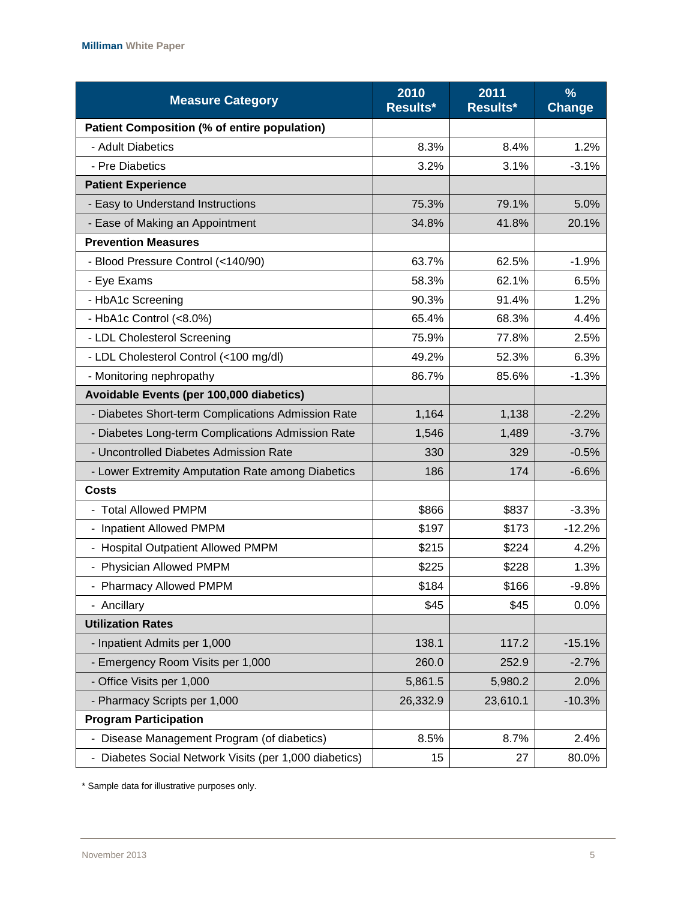| <b>Measure Category</b>                                | 2010<br>Results* | 2011<br>Results* | $\frac{9}{6}$<br><b>Change</b> |
|--------------------------------------------------------|------------------|------------------|--------------------------------|
| Patient Composition (% of entire population)           |                  |                  |                                |
| - Adult Diabetics                                      | 8.3%             | 8.4%             | 1.2%                           |
| - Pre Diabetics                                        | 3.2%             | 3.1%             | $-3.1%$                        |
| <b>Patient Experience</b>                              |                  |                  |                                |
| - Easy to Understand Instructions                      | 75.3%            | 79.1%            | 5.0%                           |
| - Ease of Making an Appointment                        | 34.8%            | 41.8%            | 20.1%                          |
| <b>Prevention Measures</b>                             |                  |                  |                                |
| - Blood Pressure Control (<140/90)                     | 63.7%            | 62.5%            | $-1.9%$                        |
| - Eye Exams                                            | 58.3%            | 62.1%            | 6.5%                           |
| - HbA1c Screening                                      | 90.3%            | 91.4%            | 1.2%                           |
| - HbA1c Control (<8.0%)                                | 65.4%            | 68.3%            | 4.4%                           |
| - LDL Cholesterol Screening                            | 75.9%            | 77.8%            | 2.5%                           |
| - LDL Cholesterol Control (<100 mg/dl)                 | 49.2%            | 52.3%            | 6.3%                           |
| - Monitoring nephropathy                               | 86.7%            | 85.6%            | $-1.3%$                        |
| Avoidable Events (per 100,000 diabetics)               |                  |                  |                                |
| - Diabetes Short-term Complications Admission Rate     | 1,164            | 1,138            | $-2.2%$                        |
| - Diabetes Long-term Complications Admission Rate      | 1,546            | 1,489            | $-3.7%$                        |
| - Uncontrolled Diabetes Admission Rate                 | 330              | 329              | $-0.5%$                        |
| - Lower Extremity Amputation Rate among Diabetics      | 186              | 174              | $-6.6%$                        |
| Costs                                                  |                  |                  |                                |
| - Total Allowed PMPM                                   | \$866            | \$837            | $-3.3%$                        |
| - Inpatient Allowed PMPM                               | \$197            | \$173            | $-12.2%$                       |
| - Hospital Outpatient Allowed PMPM                     | \$215            | \$224            | 4.2%                           |
| - Physician Allowed PMPM                               | \$225            | \$228            | 1.3%                           |
| - Pharmacy Allowed PMPM                                | \$184            | \$166            | $-9.8\%$                       |
| - Ancillary                                            | \$45             | \$45             | 0.0%                           |
| <b>Utilization Rates</b>                               |                  |                  |                                |
| - Inpatient Admits per 1,000                           | 138.1            | 117.2            | $-15.1%$                       |
| - Emergency Room Visits per 1,000                      | 260.0            | 252.9            | $-2.7%$                        |
| - Office Visits per 1,000                              | 5,861.5          | 5,980.2          | 2.0%                           |
| - Pharmacy Scripts per 1,000                           | 26,332.9         | 23,610.1         | $-10.3%$                       |
| <b>Program Participation</b>                           |                  |                  |                                |
| - Disease Management Program (of diabetics)            | 8.5%             | 8.7%             | 2.4%                           |
| - Diabetes Social Network Visits (per 1,000 diabetics) | 15               | 27               | 80.0%                          |

\* Sample data for illustrative purposes only.